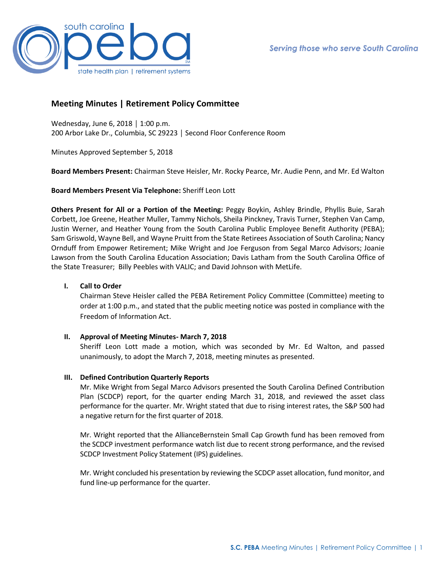

# **Meeting Minutes | Retirement Policy Committee**

Wednesday, June 6, 2018 │ 1:00 p.m. 200 Arbor Lake Dr., Columbia, SC 29223 │ Second Floor Conference Room

Minutes Approved September 5, 2018

**Board Members Present:** Chairman Steve Heisler, Mr. Rocky Pearce, Mr. Audie Penn, and Mr. Ed Walton

### **Board Members Present Via Telephone:** Sheriff Leon Lott

**Others Present for All or a Portion of the Meeting:** Peggy Boykin, Ashley Brindle, Phyllis Buie, Sarah Corbett, Joe Greene, Heather Muller, Tammy Nichols, Sheila Pinckney, Travis Turner, Stephen Van Camp, Justin Werner, and Heather Young from the South Carolina Public Employee Benefit Authority (PEBA); Sam Griswold, Wayne Bell, and Wayne Pruitt from the State Retirees Association of South Carolina; Nancy Ornduff from Empower Retirement; Mike Wright and Joe Ferguson from Segal Marco Advisors; Joanie Lawson from the South Carolina Education Association; Davis Latham from the South Carolina Office of the State Treasurer; Billy Peebles with VALIC; and David Johnson with MetLife.

## **I. Call to Order**

Chairman Steve Heisler called the PEBA Retirement Policy Committee (Committee) meeting to order at 1:00 p.m., and stated that the public meeting notice was posted in compliance with the Freedom of Information Act.

#### **II. Approval of Meeting Minutes- March 7, 2018**

Sheriff Leon Lott made a motion, which was seconded by Mr. Ed Walton, and passed unanimously, to adopt the March 7, 2018, meeting minutes as presented.

#### **III. Defined Contribution Quarterly Reports**

Mr. Mike Wright from Segal Marco Advisors presented the South Carolina Defined Contribution Plan (SCDCP) report, for the quarter ending March 31, 2018, and reviewed the asset class performance for the quarter. Mr. Wright stated that due to rising interest rates, the S&P 500 had a negative return for the first quarter of 2018.

Mr. Wright reported that the AllianceBernstein Small Cap Growth fund has been removed from the SCDCP investment performance watch list due to recent strong performance, and the revised SCDCP Investment Policy Statement (IPS) guidelines.

Mr. Wright concluded his presentation by reviewing the SCDCP asset allocation, fund monitor, and fund line-up performance for the quarter.